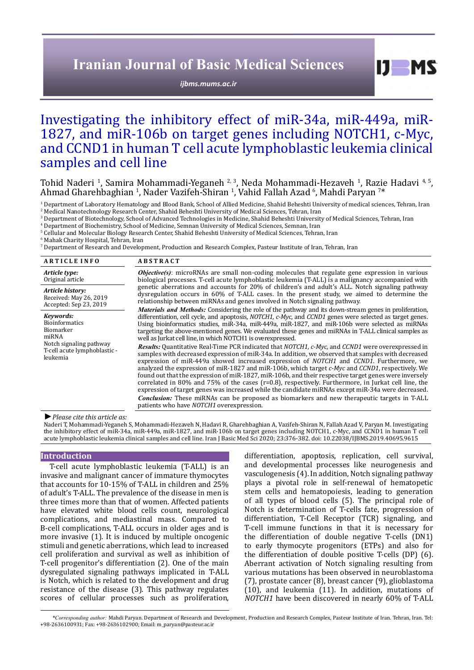## **Iranian Journal of Basic Medical Sciences**

*[ijbms.mums.ac.ir](http://ijbms.mums.ac.ir)*

## Investigating the inhibitory effect of miR-34a, miR-449a, miR-1827, and miR-106b on target genes including NOTCH1, c-Myc, and CCND1 in human T cell acute lymphoblastic leukemia clinical samples and cell line

Tohid Naderi <sup>1</sup>, Samira Mohammadi-Yeganeh <sup>2, 3</sup>, Neda Mohammadi-Hezaveh <sup>1</sup>, Razie Hadavi <sup>4, 5</sup>,<br>Ahmad Gharehbaghian <sup>1</sup>, Nader Vazifeh-Shiran <sup>1</sup>, Vahid Fallah Azad <sup>6</sup>, Mahdi Paryan <sup>7\*</sup>

<sup>1</sup> Department of Laboratory Hematology and Blood Bank, School of Allied Medicine, Shahid Beheshti University of medical sciences, Tehran, Iran 2 Medical Nanotechnology Research Center, Shahid Beheshti University of Medical Sciences, Tehran, Iran

3 Department of Biotechnology, School of Advanced Technologies in Medicine, Shahid Beheshti University of Medical Sciences, Tehran, Iran

4 Department of Biochemistry, School of Medicine, Semnan University of Medical Sciences, Semnan, Iran

5 Cellular and Molecular Biology Research Center, Shahid Beheshti University of Medical Sciences, Tehran, Iran

6 Mahak Charity Hospital, Tehran, Iran

7 Department of Research and Development, Production and Research Complex, Pasteur Institute of Iran, Tehran, Iran

| <b>ARTICLE INFO</b>                                                  | <b>ABSTRACT</b>                                                                                                                                                                                                                                                                                                                                                                                                                                                                                                                                                                                                                                                                                                                                                                                                                                                                                                      |  |  |  |  |  |
|----------------------------------------------------------------------|----------------------------------------------------------------------------------------------------------------------------------------------------------------------------------------------------------------------------------------------------------------------------------------------------------------------------------------------------------------------------------------------------------------------------------------------------------------------------------------------------------------------------------------------------------------------------------------------------------------------------------------------------------------------------------------------------------------------------------------------------------------------------------------------------------------------------------------------------------------------------------------------------------------------|--|--|--|--|--|
| Article type:<br>Original article                                    | <b><i>Objective(s)</i></b> : microRNAs are small non-coding molecules that regulate gene expression in various<br>biological processes. T-cell acute lymphoblastic leukemia (T-ALL) is a malignancy accompanied with                                                                                                                                                                                                                                                                                                                                                                                                                                                                                                                                                                                                                                                                                                 |  |  |  |  |  |
| Article history:<br>Received: May 26, 2019<br>Accepted: Sep 23, 2019 | genetic aberrations and accounts for 20% of children's and adult's ALL. Notch signaling pathway<br>dysregulation occurs in 60% of T-ALL cases. In the present study, we aimed to determine the<br>relationship between miRNAs and genes involved in Notch signaling pathway.                                                                                                                                                                                                                                                                                                                                                                                                                                                                                                                                                                                                                                         |  |  |  |  |  |
| Kevwords:<br><b>Bioinformatics</b><br>Biomarker<br>miRNA             | <i>Materials and Methods:</i> Considering the role of the pathway and its down-stream genes in proliferation,<br>differentiation, cell cycle, and apoptosis, <i>NOTCH1</i> , <i>c-Myc</i> , and <i>CCND1</i> genes were selected as target genes.<br>Using bioinformatics studies, miR-34a, miR-449a, miR-1827, and miR-106b were selected as miRNAs<br>targeting the above-mentioned genes. We evaluated these genes and miRNAs in T-ALL clinical samples as<br>well as Jurkat cell line, in which NOTCH1 is overexpressed.                                                                                                                                                                                                                                                                                                                                                                                         |  |  |  |  |  |
| Notch signaling pathway<br>T-cell acute lymphoblastic -<br>leukemia  | <b>Results:</b> Quantitative Real-Time PCR indicated that <i>NOTCH1</i> , <i>c-Myc</i> , and <i>CCND1</i> were overexpressed in<br>samples with decreased expression of miR-34a. In addition, we observed that samples with decreased<br>expression of miR-449a showed increased expression of <i>NOTCH1</i> and <i>CCND1</i> . Furthermore, we<br>analyzed the expression of miR-1827 and miR-106b, which target c-Myc and CCND1, respectively. We<br>found out that the expression of miR-1827, miR-106b, and their respective target genes were inversely<br>correlated in 80% and 75% of the cases (r=0.8), respectively. Furthermore, in Jurkat cell line, the<br>expression of target genes was increased while the candidate miRNAs except miR-34a were decreased.<br>Conclusion: These miRNAs can be proposed as biomarkers and new therapeutic targets in T-ALL<br>patients who have NOTCH1 overexpression. |  |  |  |  |  |

*►Please cite this article as:*

Naderi T, Mohammadi-Yeganeh S, Mohammadi-Hezaveh N, Hadavi R, Gharehbaghian A, Vazifeh-Shiran N, Fallah Azad V, Paryan M. Investigating the inhibitory effect of miR-34a, miR-449a, miR-1827, and miR-106b on target genes including NOTCH1, c-Myc, and CCND1 in human T cell acute lymphoblastic leukemia clinical samples and cell line. Iran J Basic Med Sci 2020; 23:376-382. doi: 10.22038/IJBMS.2019.40695.9615

### **Introduction**

T-cell acute lymphoblastic leukemia (T-ALL) is an invasive and malignant cancer of immature thymocytes that accounts for 10-15% of T-ALL in children and 25% of adult's T-ALL. The prevalence of the disease in men is three times more than that of women. Affected patients have elevated white blood cells count, neurological complications, and mediastinal mass. Compared to B-cell complications, T-ALL occurs in older ages and is more invasive (1). It is induced by multiple oncogenic stimuli and genetic aberrations, which lead to increased cell proliferation and survival as well as inhibition of T-cell progenitor's differentiation (2). One of the main dysregulated signaling pathways implicated in T-ALL is Notch, which is related to the development and drug resistance of the disease (3). This pathway regulates scores of cellular processes such as proliferation,

differentiation, apoptosis, replication, cell survival, and developmental processes like neurogenesis and vasculogenesis (4). In addition, Notch signaling pathway plays a pivotal role in self-renewal of hematopetic stem cells and hematopoiesis, leading to generation of all types of blood cells (5). The principal role of Notch is determination of T-cells fate, progression of differentiation, T-Cell Receptor (TCR) signaling, and T-cell immune functions in that it is necessary for the differentiation of double negative T-cells (DN1) to early thymocyte progenitors (ETPs) and also for the differentiation of double positive T-cells (DP) (6). Aberrant activation of Notch signaling resulting from various mutations has been observed in neuroblastoma (7), prostate cancer (8), breast cancer (9), glioblastoma (10), and leukemia (11). In addition, mutations of *NOTCH1* have been discovered in nearly 60% of T-ALL

 $I$   $I$   $M$   $S$ 

*\*Corresponding author:* Mahdi Paryan. Department of Research and Development, Production and Research Complex, Pasteur Institute of Iran. Tehran, Iran. Tel: +98-2636100931; Fax: +98-2636102900; Email: m\_paryan@pasteur.ac.ir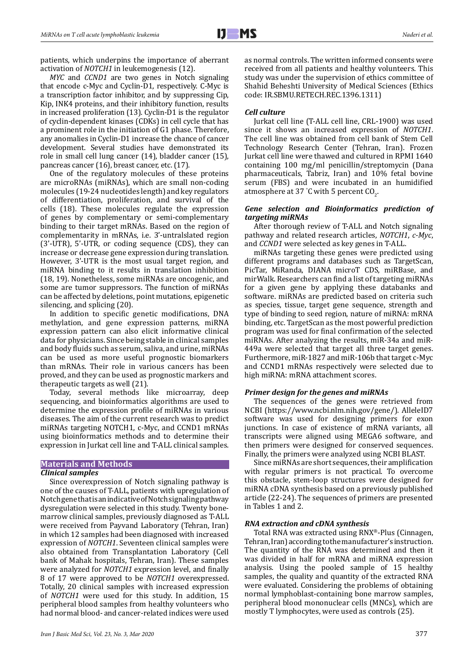patients, which underpins the importance of aberrant activation of *NOTCH1* in leukemogenesis (12).

*MYC* and *CCND1* are two genes in Notch signaling that encode c-Myc and Cyclin-D1, respectively. C-Myc is a transcription factor inhibitor, and by suppressing Cip, Kip, INK4 proteins, and their inhibitory function, results in increased proliferation (13). Cyclin-D1 is the regulator of cyclin-dependent kinases (CDKs) in cell cycle that has a prominent role in the initiation of G1 phase. Therefore, any anomalies in Cyclin-D1 increase the chance of cancer development. Several studies have demonstrated its role in small cell lung cancer (14), bladder cancer (15), pancreas cancer (16), breast cancer, etc. (17).

One of the regulatory molecules of these proteins are microRNAs (miRNAs), which are small non-coding molecules (19-24 nucleotides length) and key regulators of differentiation, proliferation, and survival of the cells (18). These molecules regulate the expression of genes by complementary or semi-complementary binding to their target mRNAs. Based on the region of complementarity in mRNAs, i.e. 3'-untralslated region (3'-UTR), 5'-UTR, or coding sequence (CDS), they can increase or decrease gene expression during translation. However, 3'-UTR is the most usual target region, and miRNA binding to it results in translation inhibition (18, 19). Nonetheless, some miRNAs are oncogenic, and some are tumor suppressors. The function of miRNAs can be affected by deletions, point mutations, epigenetic silencing, and splicing (20).

In addition to specific genetic modifications, DNA methylation, and gene expression patterns, miRNA expression pattern can also elicit informative clinical data for physicians. Since being stable in clinical samples and body fluids such as serum, saliva, and urine, miRNAs can be used as more useful prognostic biomarkers than mRNAs. Their role in various cancers has been proved, and they can be used as prognostic markers and therapeutic targets as well (21).

Today, several methods like microarray, deep sequencing, and bioinformatics algorithms are used to determine the expression profile of miRNAs in various diseases. The aim of the current research was to predict miRNAs targeting NOTCH1, c-Myc, and CCND1 mRNAs using bioinformatics methods and to determine their expression in Jurkat cell line and T-ALL clinical samples.

### **Materials and Methods**

#### *Clinical samples*

Since overexpression of Notch signaling pathway is one of the causes of T-ALL, patients with upregulation of Notch gene that is an indicative of Notch signaling pathway dysregulation were selected in this study. Twenty bonemarrow clinical samples, previously diagnosed as T-ALL were received from Payvand Laboratory (Tehran, Iran) in which 12 samples had been diagnosed with increased expression of *NOTCH1*. Seventeen clinical samples were also obtained from Transplantation Laboratory (Cell bank of Mahak hospitals, Tehran, Iran). These samples were analyzed for *NOTCH1* expression level, and finally 8 of 17 were approved to be *NOTCH1* overexpressed. Totally, 20 clinical samples with increased expression of *NOTCH1* were used for this study. In addition, 15 peripheral blood samples from healthy volunteers who had normal blood- and cancer-related indices were used

as normal controls. The written informed consents were received from all patients and healthy volunteers. This study was under the supervision of ethics committee of Shahid Beheshti University of Medical Sciences (Ethics code: IR.SBMU.RETECH.REC.1396.1311)

### *Cell culture*

Jurkat cell line (T-ALL cell line, CRL-1900) was used since it shows an increased expression of *NOTCH1*. The cell line was obtained from cell bank of Stem Cell Technology Research Center (Tehran, Iran). Frozen Jurkat cell line were thawed and cultured in RPMI 1640 containing 100 mg/ml penicillin/streptomycin (Dana pharmaceuticals, Tabriz, Iran) and 10% fetal bovine serum (FBS) and were incubated in an humidified atmosphere at 37 °C with 5 percent  $\text{CO}_2$ .

### *Gene selection and Bioinformatics prediction of targeting miRNAs*

After thorough review of T-ALL and Notch signaling pathway and related research articles, *NOTCH1*, *c-Myc*, and *CCND1* were selected as key genes in T-ALL.

miRNAs targeting these genes were predicted using different programs and databases such as TargetScan, PicTar, MiRanda, DIANA microT CDS, miRBase, and mirWalk. Researchers can find a list of targeting miRNAs for a given gene by applying these databanks and software. miRNAs are predicted based on criteria such as species, tissue, target gene sequence, strength and type of binding to seed region, nature of miRNA: mRNA binding, etc. TargetScan as the most powerful prediction program was used for final confirmation of the selected miRNAs. After analyzing the results, miR-34a and miR-449a were selected that target all three target genes. Furthermore, miR-1827 and miR-106b that target c-Myc and CCND1 mRNAs respectively were selected due to high miRNA: mRNA attachment scores.

#### *Primer design for the genes and miRNAs*

The sequences of the genes were retrieved from NCBI [\(https://www.ncbi.nlm.nih.gov/gene/\)](https://www.ncbi.nlm.nih.gov/gene/). AlleleID7 software was used for designing primers for exon junctions. In case of existence of mRNA variants, all transcripts were aligned using MEGA6 software, and then primers were designed for conserved sequences. Finally, the primers were analyzed using NCBI BLAST.

Since miRNAs are short sequences, their amplification with regular primers is not practical. To overcome this obstacle, stem-loop structures were designed for miRNA cDNA synthesis based on a previously published article (22-24). The sequences of primers are presented in Tables 1 and 2.

#### *RNA extraction and cDNA synthesis*

Total RNA was extracted using RNX®-Plus (Cinnagen, Tehran, Iran) according to the manufacturer's instruction. The quantity of the RNA was determined and then it was divided in half for mRNA and miRNA expression analysis. Using the pooled sample of 15 healthy samples, the quality and quantity of the extracted RNA were evaluated. Considering the problems of obtaining normal lymphoblast-containing bone marrow samples, peripheral blood mononuclear cells (MNCs), which are mostly T lymphocytes, were used as controls (25).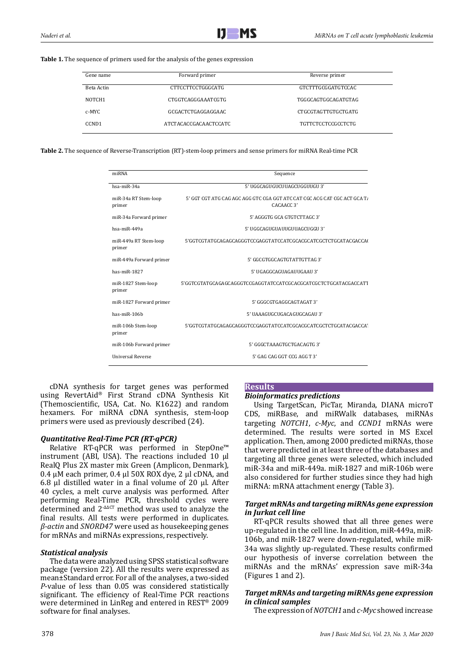#### **Table 1.** The sequence of primers used for the analysis of the genes expression

| Gene name          | Forward primer        | Reverse primer            |  |  |  |
|--------------------|-----------------------|---------------------------|--|--|--|
| Beta Actin         | CTTCCTTCCTGGGCATG     | <b>GTCTTTGCGGATGTCCAC</b> |  |  |  |
| NOTCH <sub>1</sub> | CTGGTCAGGGAAATCGTG    | TGGGCAGTGGCAGATGTAG       |  |  |  |
| c-MYC              | GCGACTCTGAGGAGGAAC    | CTGCGTAGTTGTGCTGATG       |  |  |  |
| CCND <sub>1</sub>  | ATCTACACCGACAACTCCATC | TGTTCTCCTCCGCCTCTG        |  |  |  |

**Table 2.** The sequence of Reverse-Transcription (RT)-stem-loop primers and sense primers for miRNA Real-time PCR

| 5' GGT CGT ATG CAG AGC AGG GTC CGA GGT ATC CAT CGC ACG CAT CGC ACT GCA T. |
|---------------------------------------------------------------------------|
|                                                                           |
|                                                                           |
|                                                                           |
|                                                                           |
|                                                                           |
|                                                                           |
|                                                                           |
|                                                                           |
|                                                                           |
|                                                                           |
|                                                                           |
|                                                                           |
|                                                                           |
|                                                                           |

cDNA synthesis for target genes was performed using RevertAid® First Strand cDNA Synthesis Kit (Themoscientific, USA, Cat. No. K1622) and random hexamers. For miRNA cDNA synthesis, stem-loop primers were used as previously described (24).

### *Quantitative Real-Time PCR (RT-qPCR)*

Relative RT-qPCR was performed in StepOne™ instrument (ABI, USA). The reactions included 10 µl RealQ Plus 2X master mix Green (Amplicon, Denmark), 0.4  $\mu$ M each primer, 0.4  $\mu$ l 50X ROX dye, 2  $\mu$ l cDNA, and 6.8  $\mu$ l distilled water in a final volume of 20  $\mu$ l. After 40 cycles, a melt curve analysis was performed. After performing Real-Time PCR, threshold cycles were determined and 2-∆∆CT method was used to analyze the final results. All tests were performed in duplicates. *β-actin* and *SNORD47* were used as housekeeping genes for mRNAs and miRNAs expressions, respectively.

## *Statistical analysis*

The data were analyzed using SPSS statistical software package (version 22). All the results were expressed as mean±Standard error. For all of the analyses, a two-sided *P*-value of less than 0.05 was considered statistically significant. The efficiency of Real-Time PCR reactions were determined in LinReg and entered in REST® 2009 software for final analyses.

# 378

## *Bioinformatics predictions*

**Results**

Using TargetScan, PicTar, Miranda, DIANA microT CDS, miRBase, and miRWalk databases, miRNAs targeting *NOTCH1*, *c-Myc*, and *CCND1* mRNAs were determined. The results were sorted in MS Excel application. Then, among 2000 predicted miRNAs, those that were predicted in at least three of the databases and targeting all three genes were selected, which included miR-34a and miR-449a. miR-1827 and miR-106b were also considered for further studies since they had high miRNA: mRNA attachment energy (Table 3).

## *Target mRNAs and targeting miRNAs gene expression in Jurkat cell line*

RT-qPCR results showed that all three genes were up-regulated in the cell line. In addition, miR-449a, miR-106b, and miR-1827 were down-regulated, while miR-34a was slightly up-regulated. These results confirmed our hypothesis of inverse correlation between the miRNAs and the mRNAs' expression save miR-34a (Figures 1 and 2).

## *Target mRNAs and targeting miRNAs gene expression in clinical samples*

The expression of *NOTCH1* and *c-Myc* showed increase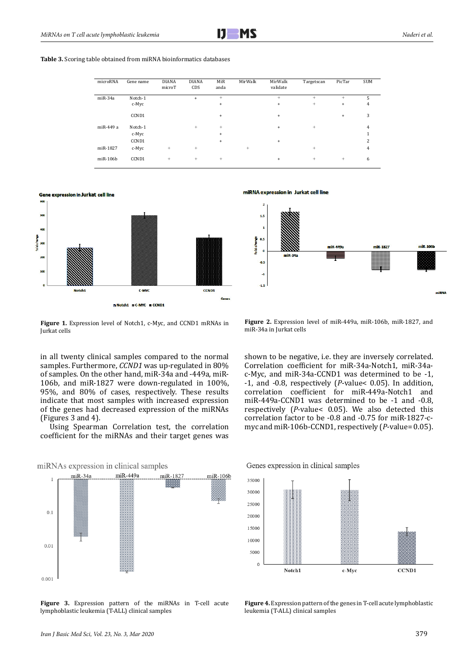| microRNA       | Gene name | <b>DIANA</b><br>microT | <b>DIANA</b><br>CDS | MiR<br>anda | MirWalk | MirWalk<br>validate | Targetscan | PicTar | <b>SUM</b> |
|----------------|-----------|------------------------|---------------------|-------------|---------|---------------------|------------|--------|------------|
| $miR-34a$      | Notch-1   |                        | $+$                 | $+$         |         | $^{+}$              | $\ddot{}$  | $+$    | 5          |
|                | c-Myc     |                        |                     | $+$         |         | $\ddot{}$           | $\ddot{}$  | $+$    | 4          |
|                | CCND1     |                        |                     | $+$         |         | $\ddot{}$           |            | $+$    | 3          |
| miR-449 a      | Notch-1   |                        | $^{+}$              | $^{+}$      |         | $+$                 | $\ddot{}$  |        | 4          |
|                | c-Myc     |                        |                     | $+$         |         |                     |            |        |            |
|                | CCND1     |                        |                     | $+$         |         | $\ddot{}$           |            |        | 2          |
| miR-1827       | c-Myc     | $^{+}$                 | $^{+}$              |             | $^{+}$  |                     | $\ddot{}$  |        | 4          |
| $m$ i $R-106b$ | CCND1     | $^{+}$                 | $+$                 | $^{+}$      |         | $+$                 | $\ddot{}$  | $^{+}$ | 6          |



miRNA expression in Jurkat cell line



Figure 1. Expression level of Notch1, c-Myc, and CCND1 mRNAs in Jurkat cells

in all twenty clinical samples compared to the normal samples. Furthermore, *CCND1* was up-regulated in 80% of samples. On the other hand, miR-34a and -449a, miR-106b, and miR-1827 were down-regulated in 100%, 95%, and 80% of cases, respectively. These results indicate that most samples with increased expression of the genes had decreased expression of the miRNAs (Figures 3 and 4).

Using Spearman Correlation test, the correlation coefficient for the miRNAs and their target genes was



**Figure 3.** Expression pattern of the miRNAs in T-cell acute lymphoblastic leukemia (T-ALL) clinical samples

**Figure 2.** Expression level of miR-449a, miR-106b, miR-1827, and miR-34a in Jurkat cells

shown to be negative, i.e. they are inversely correlated. Correlation coefficient for miR-34a-Notch1, miR-34ac-Myc, and miR-34a-CCND1 was determined to be -1, -1, and -0.8, respectively (*P*-value< 0.05). In addition, correlation coefficient for miR-449a-Notch1 and miR-449a-CCND1 was determined to be -1 and -0.8, respectively (*P*-value< 0.05). We also detected this correlation factor to be -0.8 and -0.75 for miR-1827-cmyc and miR-106b-CCND1, respectively (*P*-value= 0.05).

Genes expression in clinical samples



**Figure 4.** Expression pattern of the genes in T-cell acute lymphoblastic leukemia (T-ALL) clinical samples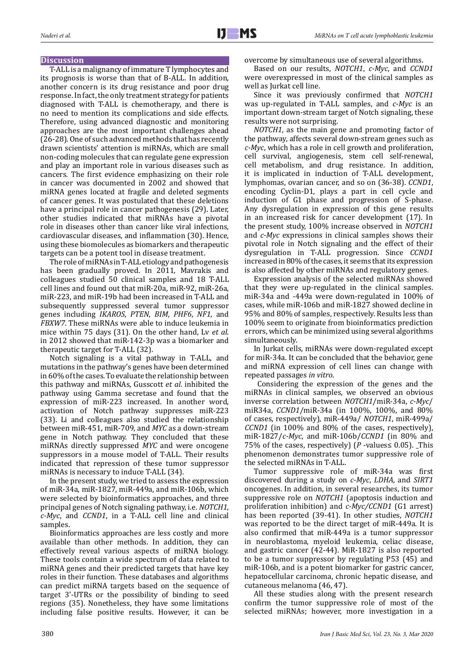### **Discussion**

T-ALL is a malignancy of immature T lymphocytes and its prognosis is worse than that of B-ALL. In addition, another concern is its drug resistance and poor drug response. In fact, the only treatment strategy for patients diagnosed with T-ALL is chemotherapy, and there is no need to mention its complications and side effects. Therefore, using advanced diagnostic and monitoring approaches are the most important challenges ahead (26-28). One of such advanced methods that has recently drawn scientists' attention is miRNAs, which are small non-coding molecules that can regulate gene expression and play an important role in various diseases such as cancers. The first evidence emphasizing on their role in cancer was documented in 2002 and showed that miRNA genes located at fragile and deleted segments of cancer genes. It was postulated that these deletions have a principal role in cancer pathogenesis (29). Later, other studies indicated that miRNAs have a pivotal role in diseases other than cancer like viral infections, cardiovascular diseases, and inflammation (30). Hence, using these biomolecules as biomarkers and therapeutic targets can be a potent tool in disease treatment.

The role of miRNAs in T-ALL etiology and pathogenesis has been gradually proved. In 2011, Mavrakis and colleagues studied 50 clinical samples and 18 T-ALL cell lines and found out that miR-20a, miR-92, miR-26a, miR-223, and miR-19b had been increased in T-ALL and subsequently suppressed several tumor suppressor genes including *IKAROS*, *PTEN*, *BIM*, *PHF6*, *NF1*, and *FBXW7*. These miRNAs were able to induce leukemia in mice within 75 days (31). On the other hand, Lv *et al*. in 2012 showed that miR-142-3p was a biomarker and therapeutic target for T-ALL (32).

Notch signaling is a vital pathway in T-ALL, and mutations in the pathway's genes have been determined in 60% of the cases. To evaluate the relationship between this pathway and miRNAs, Gusscott *et al*. inhibited the pathway using Gamma secretase and found that the expression of miR-223 increased. In another word, activation of Notch pathway suppresses miR-223 (33). Li and colleagues also studied the relationship between miR-451, miR-709, and *MYC* as a down-stream gene in Notch pathway. They concluded that these miRNAs directly suppressed *MYC* and were oncogene suppressors in a mouse model of T-ALL. Their results indicated that repression of these tumor suppressor miRNAs is necessary to induce T-ALL (34).

In the present study, we tried to assess the expression of miR-34a, miR-1827, miR-449a, and miR-106b, which were selected by bioinformatics approaches, and three principal genes of Notch signaling pathway, i.e. *NOTCH1*, *c-Myc*, and *CCND1*, in a T-ALL cell line and clinical samples.

Bioinformatics approaches are less costly and more available than other methods. In addition, they can effectively reveal various aspects of miRNA biology. These tools contain a wide spectrum of data related to miRNA genes and their predicted targets that have key roles in their function. These databases and algorithms can predict miRNA targets based on the sequence of target 3'-UTRs or the possibility of binding to seed regions (35). Nonetheless, they have some limitations including false positive results. However, it can be

overcome by simultaneous use of several algorithms.

Based on our results, *NOTCH1*, *c-Myc*, and *CCND1* were overexpressed in most of the clinical samples as well as Jurkat cell line.

Since it was previously confirmed that *NOTCH1* was up-regulated in T-ALL samples, and *c-Myc* is an important down-stream target of Notch signaling, these results were not surprising.

*NOTCH1*, as the main gene and promoting factor of the pathway, affects several down-stream genes such as *c-Myc*, which has a role in cell growth and proliferation, cell survival, angiogenesis, stem cell self-renewal, cell metabolism, and drug resistance. In addition, it is implicated in induction of T-ALL development, lymphomas, ovarian cancer, and so on (36-38). *CCND1*, encoding Cyclin-D1, plays a part in cell cycle and induction of G1 phase and progression of S-phase. Any dysregulation in expression of this gene results in an increased risk for cancer development (17). In the present study, 100% increase observed in *NOTCH1* and *c-Myc* expressions in clinical samples shows their pivotal role in Notch signaling and the effect of their dysregulation in T-ALL progression. Since *CCND1* increased in 80% of the cases, it seems that its expression is also affected by other miRNAs and regulatory genes.

Expression analysis of the selected miRNAs showed that they were up-regulated in the clinical samples. miR-34a and -449a were down-regulated in 100% of cases, while miR-106b and miR-1827 showed decline in 95% and 80% of samples, respectively. Results less than 100% seem to originate from bioinformatics prediction errors, which can be minimized using several algorithms simultaneously.

In Jurkat cells, miRNAs were down-regulated except for miR-34a. It can be concluded that the behavior, gene and miRNA expression of cell lines can change with repeated passages *in vitro*.

 Considering the expression of the genes and the miRNAs in clinical samples, we observed an obvious inverse correlation between *NOTCH1*/miR-34a, *c-Myc*/ miR34a, *CCND1*/miR-34a (in 100%, 100%, and 80% of cases, respectively), miR-449a/ *NOTCH1*, miR-499a/ *CCND1* (in 100% and 80% of the cases, respectively), miR-1827/*c-Myc*, and miR-106b/*CCND1* (in 80% and 75% of the cases, respectively) (*P* -values≤ 0.05). This phenomenon demonstrates tumor suppressive role of the selected miRNAs in T-ALL.

Tumor suppressive role of miR-34a was first discovered during a study on *c-Myc*, *LDHA*, and *SIRT1* oncogenes. In addition, in several researches, its tumor suppressive role on *NOTCH1* (apoptosis induction and proliferation inhibition) and *c-Myc/CCND1* (G1 arrest) has been reported (39-41). In other studies, *NOTCH1* was reported to be the direct target of miR-449a. It is also confirmed that miR-449a is a tumor suppressor in neuroblastoma, myeloid leukemia, celiac disease, and gastric cancer (42-44). MiR-1827 is also reported to be a tumor suppressor by regulating P53 (45) and miR-106b, and is a potent biomarker for gastric cancer, hepatocellular carcinoma, chronic hepatic disease, and cutaneous melanoma (46, 47).

All these studies along with the present research confirm the tumor suppressive role of most of the selected miRNAs; however, more investigation in a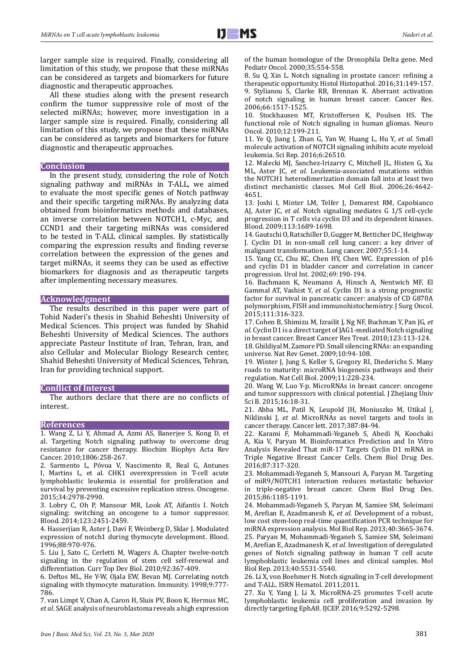larger sample size is required. Finally, considering all limitation of this study, we propose that these miRNAs can be considered as targets and biomarkers for future diagnostic and therapeutic approaches.

All these studies along with the present research confirm the tumor suppressive role of most of the selected miRNAs; however, more investigation in a larger sample size is required. Finally, considering all limitation of this study, we propose that these miRNAs can be considered as targets and biomarkers for future diagnostic and therapeutic approaches.

#### **Conclusion**

In the present study, considering the role of Notch signaling pathway and miRNAs in T-ALL, we aimed to evaluate the most specific genes of Notch pathway and their specific targeting miRNAs. By analyzing data obtained from bioinformatics methods and databases, an inverse correlation between NOTCH1, c-Myc, and CCND1 and their targeting miRNAs was considered to be tested in T-ALL clinical samples. By statistically comparing the expression results and finding reverse correlation between the expression of the genes and target miRNAs, it seems they can be used as effective biomarkers for diagnosis and as therapeutic targets after implementing necessary measures.

#### **Acknowledgment**

The results described in this paper were part of Tohid Naderi's thesis in Shahid Beheshti University of Medical Sciences. This project was funded by Shahid Beheshti University of Medical Sciences. The authors appreciate Pasteur Institute of Iran, Tehran, Iran, and also Cellular and Molecular Biology Research center, Shahid Beheshti University of Medical Sciences, Tehran, Iran for providing technical support.

#### **Conflict of Interest**

The authors declare that there are no conflicts of interest.

## **References**

1. Wang Z, Li Y, Ahmad A, Azmi AS, Banerjee S, Kong D, et al. Targeting Notch signaling pathway to overcome drug resistance for cancer therapy. Biochim Biophys Acta Rev Cancer. 2010;1806:258-267.

2. Sarmento L, Póvoa V, Nascimento R, Real G, Antunes I, Martins L, et al. CHK1 overexpression in T-cell acute lymphoblastic leukemia is essential for proliferation and survival by preventing excessive replication stress. Oncogene. 2015;34:2978-2990.

3. Lobry C, Oh P, Mansour MR, Look AT, Aifantis I. Notch signaling: switching an oncogene to a tumor suppressor. Blood. 2014;123:2451-2459.

4. Hasserjian R, Aster J, Davi F, Weinberg D, Sklar J. Modulated expression of notch1 during thymocyte development. Blood. 1996;88:970-976.

5. Liu J, Sato C, Cerletti M, Wagers A. Chapter twelve-notch signaling in the regulation of stem cell self-renewal and differentiation. Curr Top Dev Biol. 2010;92:367-409.

6. Deftos ML, He Y-W, Ojala EW, Bevan MJ. Correlating notch signaling with thymocyte maturation. Immunity. 1998;9:777- 786.

7. van Limpt V, Chan A, Caron H, Sluis PV, Boon K, Hermus MC, *et al*. SAGE analysis of neuroblastoma reveals a high expression of the human homologue of the Drosophila Delta gene. Med Pediatr Oncol. 2000;35:554-558.

8. Su Q, Xin L. Notch signaling in prostate cancer: refining a therapeutic opportunity. Histol Histopathol. 2016;31:149-157. 9. Stylianou S, Clarke RB, Brennan K. Aberrant activation of notch signaling in human breast cancer. Cancer Res. 2006;66:1517-1525.

10. Stockhausen MT, Kristoffersen K, Poulsen HS. The functional role of Notch signaling in human gliomas. Neuro Oncol. 2010;12:199-211.

11. Ye Q, Jiang J, Zhan G, Yan W, Huang L, Hu Y, *et al*. Small molecule activation of NOTCH signaling inhibits acute myeloid leukemia. Sci Rep. 2016;6:26510.

12. Malecki MJ, Sanchez-Irizarry C, Mitchell JL, Histen G, Xu ML, Aster JC, *et al*. Leukemia-associated mutations within the NOTCH1 heterodimerization domain fall into at least two distinct mechanistic classes. Mol Cell Biol. 2006;26:4642- 4651.

13. Joshi I, Minter LM, Telfer J, Demarest RM, Capobianco AJ, Aster JC, *et al*. Notch signaling mediates G 1/S cell-cycle progression in T cells via cyclin D3 and its dependent kinases. Blood. 2009;113:1689-1698.

14. Gautschi O, Ratschiller D, Gugger M, Betticher DC, Heighway J. Cyclin D1 in non-small cell lung cancer: a key driver of malignant transformation. Lung cancer. 2007;55:1-14.

15. Yang CC, Chu KC, Chen HY, Chen WC. Expression of p16 and cyclin D1 in bladder cancer and correlation in cancer progression. Urol Int. 2002;69:190-194.

16. Bachmann K, Neumann A, Hinsch A, Nentwich MF, El Gammal AT, Vashist Y, *et al*. Cyclin D1 is a strong prognostic factor for survival in pancreatic cancer: analysis of CD G870A polymorphism, FISH and immunohistochemistry. J Surg Oncol. 2015;111:316-323.

17. Cohen B, Shimizu M, Izrailit J, Ng NF, Buchman Y, Pan JG, *et al*. Cyclin D1 is a direct target of JAG1-mediated Notch signaling in breast cancer. Breast Cancer Res Treat. 2010;123:113-124. 18. Ghildiyal M, Zamore PD. Small silencing RNAs: an expanding universe. Nat Rev Genet. 2009;10:94-108.

19. Winter J, Jung S, Keller S, Gregory RI, Diederichs S. Many roads to maturity: microRNA biogenesis pathways and their regulation. Nat Cell Biol. 2009;11:228-234.

20. Wang W, Luo Y-p. MicroRNAs in breast cancer: oncogene and tumor suppressors with clinical potential. J Zhejiang Univ Sci B. 2015;16:18-31.

21. Abba ML, Patil N, Leupold JH, Moniuszko M, Utikal J, Niklinski J, *et al*. MicroRNAs as novel targets and tools in cancer therapy. Cancer lett. 2017;387:84-94.

22. Karami F, Mohammadi-Yeganeh S, Abedi N, Koochaki A, Kia V, Paryan M. Bioinformatics Prediction and In Vitro Analysis Revealed That miR-17 Targets Cyclin D1 mRNA in Triple Negative Breast Cancer Cells. Chem Biol Drug Des. 2016;87:317-320.

23. Mohammadi-Yeganeh S, Mansouri A, Paryan M. Targeting of miR9/NOTCH1 interaction reduces metastatic behavior in triple-negative breast cancer. Chem Biol Drug Des. 2015;86:1185-1191.

24. Mohammadi-Yeganeh S, Paryan M, Samiee SM, Soleimani M, Arefian E, Azadmanesh K, *et al*. Development of a robust, low cost stem-loop real-time quantification PCR technique for miRNA expression analysis. Mol Biol Rep. 2013;40:3665-3674. 25. Paryan M, Mohammadi-Yeganeh S, Samiee SM, Soleimani M, Arefian E, Azadmanesh K, *et al*. Investigation of deregulated genes of Notch signaling pathway in human T cell acute lymphoblastic leukemia cell lines and clinical samples. Mol Biol Rep. 2013;40:5531-5540.

26. Li X, von Boehmer H. Notch signaling in T-cell development and T-ALL. ISRN Hematol. 2011;2011.

27. Xu Y, Yang J, Li X. MicroRNA-25 promotes T-cell acute lymphoblastic leukemia cell proliferation and invasion by directly targeting EphA8. IJCEP. 2016;9:5292-5298.